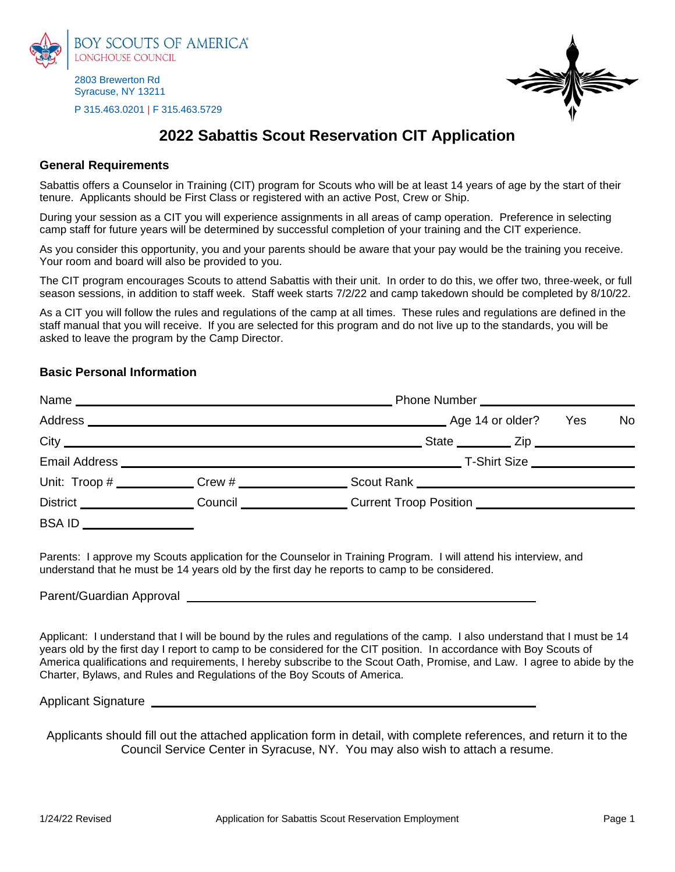

2803 Brewerton Rd Syracuse, NY 13211

P 315.463.0201 | F 315.463.5729



## **2022 Sabattis Scout Reservation CIT Application**

## **General Requirements**

Sabattis offers a Counselor in Training (CIT) program for Scouts who will be at least 14 years of age by the start of their tenure. Applicants should be First Class or registered with an active Post, Crew or Ship.

During your session as a CIT you will experience assignments in all areas of camp operation. Preference in selecting camp staff for future years will be determined by successful completion of your training and the CIT experience.

As you consider this opportunity, you and your parents should be aware that your pay would be the training you receive. Your room and board will also be provided to you.

The CIT program encourages Scouts to attend Sabattis with their unit. In order to do this, we offer two, three-week, or full season sessions, in addition to staff week. Staff week starts 7/2/22 and camp takedown should be completed by 8/10/22.

As a CIT you will follow the rules and regulations of the camp at all times. These rules and regulations are defined in the staff manual that you will receive. If you are selected for this program and do not live up to the standards, you will be asked to leave the program by the Camp Director.

## **Basic Personal Information**

| Name                           | <u> 1989 - Johann Johann Harry Harry Harry Harry Harry Harry Harry Harry Harry Harry Harry Harry Harry Harry Harry</u> |                                                                                  |    |  |  |  |
|--------------------------------|------------------------------------------------------------------------------------------------------------------------|----------------------------------------------------------------------------------|----|--|--|--|
|                                |                                                                                                                        | . Age 14 or older?<br>Yes                                                        | No |  |  |  |
|                                |                                                                                                                        | State ___________ Zip ________________                                           |    |  |  |  |
|                                |                                                                                                                        |                                                                                  |    |  |  |  |
|                                |                                                                                                                        |                                                                                  |    |  |  |  |
| District _____________________ |                                                                                                                        | Council ____________________Current Troop Position _____________________________ |    |  |  |  |
| <b>BSAID</b>                   |                                                                                                                        |                                                                                  |    |  |  |  |

Parents: I approve my Scouts application for the Counselor in Training Program. I will attend his interview, and understand that he must be 14 years old by the first day he reports to camp to be considered.

Parent/Guardian Approval

Applicant: I understand that I will be bound by the rules and regulations of the camp. I also understand that I must be 14 years old by the first day I report to camp to be considered for the CIT position. In accordance with Boy Scouts of America qualifications and requirements, I hereby subscribe to the Scout Oath, Promise, and Law. I agree to abide by the Charter, Bylaws, and Rules and Regulations of the Boy Scouts of America.

Applicant Signature

Applicants should fill out the attached application form in detail, with complete references, and return it to the Council Service Center in Syracuse, NY. You may also wish to attach a resume.